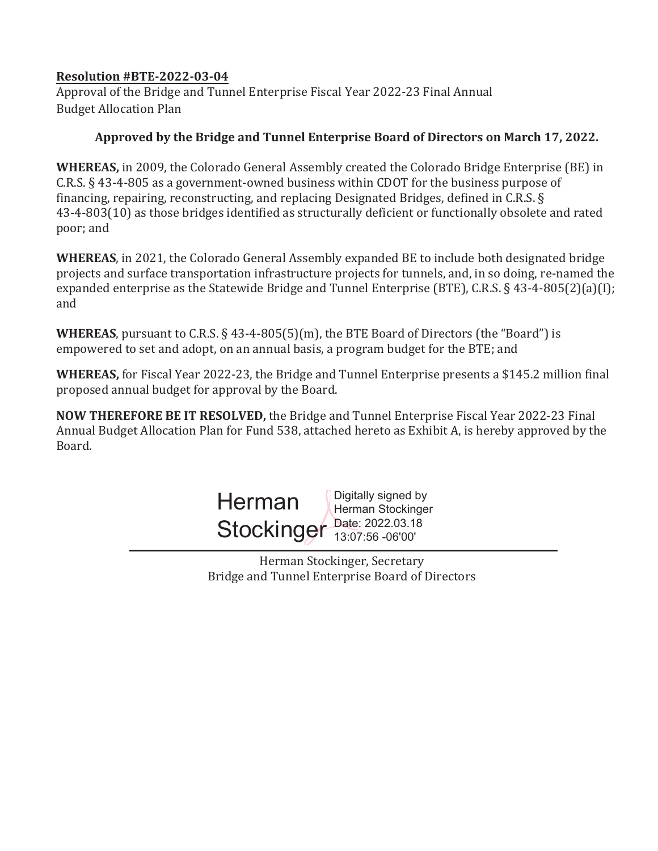## **Resolution #BTE-2022-03-04**

Approval of the Bridge and Tunnel Enterprise Fiscal Year 2022-23 Final Annual Budget Allocation Plan

## Approved by the Bridge and Tunnel Enterprise Board of Directors on March 17, 2022.

**WHEREAS,** in 2009, the Colorado General Assembly created the Colorado Bridge Enterprise (BE) in C.R.S. § 43-4-805 as a government-owned business within CDOT for the business purpose of financing, repairing, reconstructing, and replacing Designated Bridges, defined in C.R.S. § 43-4-803(10) as those bridges identified as structurally deficient or functionally obsolete and rated poor; and

**WHEREAS**, in 2021, the Colorado General Assembly expanded BE to include both designated bridge projects and surface transportation infrastructure projects for tunnels, and, in so doing, re-named the expanded enterprise as the Statewide Bridge and Tunnel Enterprise (BTE), C.R.S. § 43-4-805(2)(a)(I); and

**WHEREAS**, pursuant to C.R.S. § 43-4-805(5)(m), the BTE Board of Directors (the "Board") is empowered to set and adopt, on an annual basis, a program budget for the BTE; and

**WHEREAS,** for Fiscal Year 2022-23, the Bridge and Tunnel Enterprise presents a \$145.2 million final proposed annual budget for approval by the Board.

**NOW THEREFORE BE IT RESOLVED,** the Bridge and Tunnel Enterprise Fiscal Year 2022-23 Final Annual Budget Allocation Plan for Fund 538, attached hereto as Exhibit A, is hereby approved by the Board.



Herman Stockinger, Secretary Bridge and Tunnel Enterprise Board of Directors